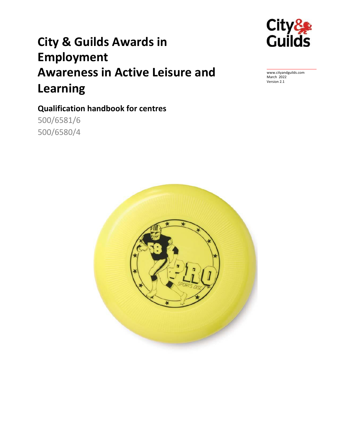# **City & Guilds Awards in Employment Awareness in Active Leisure and Learning**

## **Qualification handbook for centres**

500/6581/6 500/6580/4



[www.cityandguilds.com](http://www.cityandguilds.com/) March 2022 Version 2.1

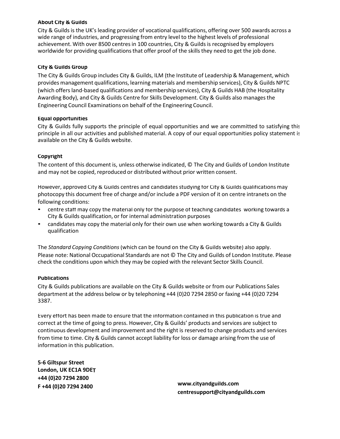#### **About City & Guilds**

City & Guilds is the UK's leading provider of vocational qualifications, offering over 500 awards across a wide range of industries, and progressing from entry level to the highest levels of professional achievement. With over 8500 centres in 100 countries, City & Guilds is recognised by employers worldwide for providing qualifications that offer proof of the skills they need to get the job done.

#### **City & Guilds Group**

The City & Guilds Group includes City & Guilds, ILM (the Institute of Leadership & Management, which provides management qualifications, learning materials and membership services), City & Guilds NPTC (which offers land-based qualifications and membership services), City & Guilds HAB (the Hospitality Awarding Body), and City & Guilds Centre for Skills Development. City & Guilds also manages the Engineering Council Examinations on behalf of the Engineering Council.

#### **Equal opportunities**

City & Guilds fully supports the principle of equal opportunities and we are committed to satisfying this principle in all our activities and published material. A copy of our equal opportunities policy statement is available on the City & Guilds website.

#### **Copyright**

The content of this document is, unless otherwise indicated, © The City and Guilds of London Institute and may not be copied, reproduced or distributed without prior written consent.

However, approved City & Guilds centres and candidates studying for City & Guilds qualifications may photocopy this document free of charge and/or include a PDF version of it on centre intranets on the following conditions:

- centre staff may copy the material only for the purpose of teaching candidates working towards a City & Guilds qualification, or for internal administration purposes
- candidates may copy the material only for their own use when working towards a City & Guilds qualification •

The *Standard Copying Conditions*(which can be found on the City & Guilds website) also apply. Please note: National Occupational Standards are not © The City and Guilds of London Institute. Please check the conditions upon which they may be copied with the relevant Sector Skills Council.

#### **Publications**

City & Guilds publications are available on the City & Guilds website or from our Publications Sales department at the address below or by telephoning +44 (0)20 7294 2850 or faxing +44 (0)20 7294 3387.

Every effort has been made to ensure that the information contained in this publication is true and correct at the time of going to press. However, City & Guilds' products and services are subject to continuous development and improvement and the right is reserved to change products and services from time to time. City & Guilds cannot accept liability for loss or damage arising from the use of information in this publication.

**5-6 Giltspur Street London, UK EC1A 9DET +44 (0)20 7294 2800**

**<sup>F</sup> +44 (0)20 <sup>7294</sup> <sup>2400</sup> [www.cityandguilds.com](http://www.cityandguilds.com/) [centresupport@cityandguilds.com](mailto:centresupport@cityandguilds.com)**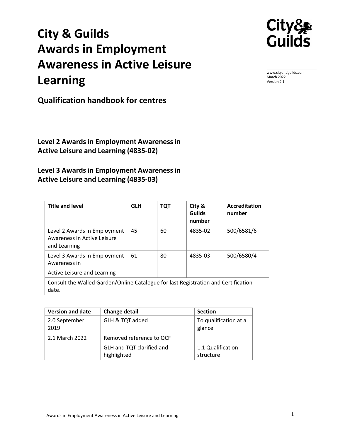# **City & Guilds Awards in Employment Awareness in Active Leisure Learning**



[www.cityandguilds.com](http://www.cityandguilds.com/) March 2022 Version 2.1

**Qualification handbook for centres**

**Level 2 Awardsin Employment Awarenessin Active Leisure and Learning (4835-02)**

### **Level 3 Awardsin Employment Awarenessin Active Leisure and Learning (4835-03)**

| <b>Title and level</b>                                                                      | <b>GLH</b> | ΤΩΤ | City &<br><b>Guilds</b><br>number | Accreditation<br>number |
|---------------------------------------------------------------------------------------------|------------|-----|-----------------------------------|-------------------------|
| Level 2 Awards in Employment<br>Awareness in Active Leisure<br>and Learning                 | 45         | 60  | 4835-02                           | 500/6581/6              |
| Level 3 Awards in Employment<br>Awareness in                                                | 61         | 80  | 4835-03                           | 500/6580/4              |
| Active Leisure and Learning                                                                 |            |     |                                   |                         |
| Consult the Walled Garden/Online Catalogue for last Registration and Certification<br>date. |            |     |                                   |                         |

| <b>Version and date</b> | <b>Change detail</b>                     | <b>Section</b>                  |
|-------------------------|------------------------------------------|---------------------------------|
| 2.0 September<br>2019   | GLH & TQT added                          | To qualification at a<br>glance |
| 2.1 March 2022          | Removed reference to QCF                 |                                 |
|                         | GLH and TQT clarified and<br>highlighted | 1.1 Qualification<br>structure  |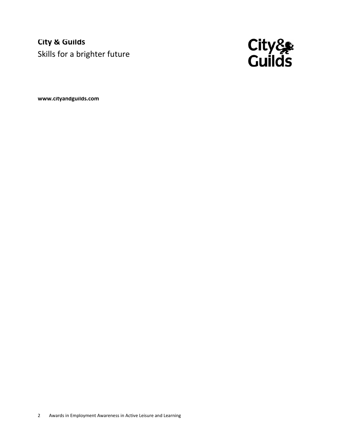## **City & Guilds** Skills for a brighter future



**[www.cityandguilds.com](http://www.cityandguilds.com/)**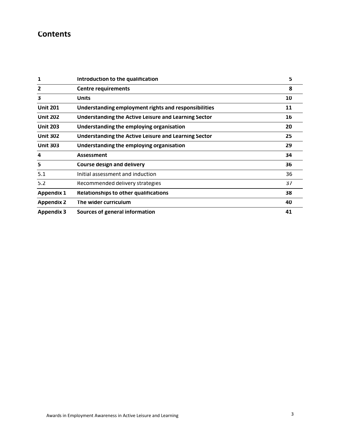### **Contents**

| 1                 | Introduction to the qualification                           | 5  |
|-------------------|-------------------------------------------------------------|----|
| 2                 | <b>Centre requirements</b>                                  | 8  |
| 3                 | <b>Units</b>                                                | 10 |
| <b>Unit 201</b>   | Understanding employment rights and responsibilities        | 11 |
| <b>Unit 202</b>   | <b>Understanding the Active Leisure and Learning Sector</b> | 16 |
| <b>Unit 203</b>   | Understanding the employing organisation                    | 20 |
| <b>Unit 302</b>   | <b>Understanding the Active Leisure and Learning Sector</b> | 25 |
| <b>Unit 303</b>   | Understanding the employing organisation                    | 29 |
| 4                 | <b>Assessment</b>                                           | 34 |
| 5                 | <b>Course design and delivery</b>                           | 36 |
| 5.1               | Initial assessment and induction                            | 36 |
| 5.2               | Recommended delivery strategies                             | 37 |
| <b>Appendix 1</b> | Relationships to other qualifications                       | 38 |
| <b>Appendix 2</b> | The wider curriculum                                        | 40 |
| <b>Appendix 3</b> | Sources of general information                              | 41 |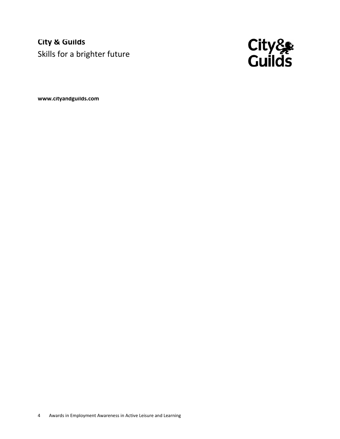## **City & Guilds** Skills for a brighter future



**[www.cityandguilds.com](http://www.cityandguilds.com/)**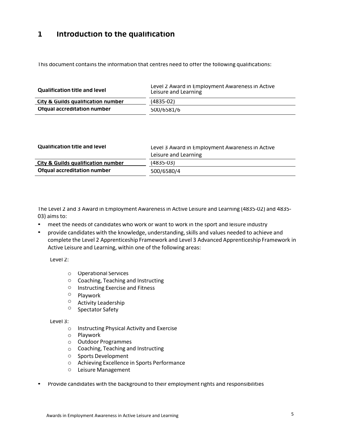### **1 Introduction to the qualification**

This document contains the information that centres need to offer the following qualifications:

| Qualification title and level      | Level 2 Award in Employment Awareness in Active<br>Leisure and Learning |
|------------------------------------|-------------------------------------------------------------------------|
| City & Guilds qualification number | $(4835-02)$                                                             |
| Ofqual accreditation number        | 500/6581/6                                                              |

| <b>Qualification title and level</b> | Level 3 Award in Employment Awareness in Active<br>Leisure and Learning |
|--------------------------------------|-------------------------------------------------------------------------|
| City & Guilds qualification number   | $(4835-03)$                                                             |
| <b>Ofqual accreditation number</b>   | 500/6580/4                                                              |

The Level 2 and 3 Award in Employment Awarenessin Active Leisure and Learning (4835-02) and 4835- 03) aims to:

- meet the needs of candidates who work or want to work in the sport and leisure industry
- provide candidates with the knowledge, understanding,skills and values needed to achieve and complete the Level 2 Apprenticeship Framework and Level 3 Advanced Apprenticeship Framework in Active Leisure and Learning, within one of the following areas:

Level 2:

- o Operational Services
- o Coaching, Teaching and Instructing
- o Instructing Exercise and Fitness
- o Playwork
- o Activity Leadership
- o Spectator Safety

#### Level 3:

- o Instructing Physical Activity and Exercise
- o Playwork
- o Outdoor Programmes
- o Coaching, Teaching and Instructing
- o Sports Development
- o Achieving Excellence in Sports Performance
- o Leisure Management
- Provide candidates with the background to their employment rights and responsibilities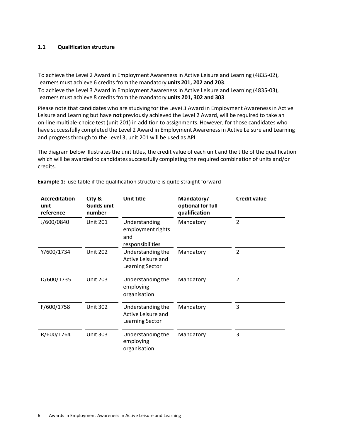#### **1.1 Qualification structure**

To achieve the Level 2 Award in Employment Awarenessin Active Leisure and Learning (4835-02), learners must achieve 6 credits from the mandatory **units 201, 202 and 203**. To achieve the Level 3 Award in Employment Awarenessin Active Leisure and Learning (4835-03), learners must achieve 8 credits from the mandatory **units 201, 302 and 303**.

Please note that candidates who are studying for the Level 3 Award in Employment Awarenessin Active Leisure and Learning but have **not** previously achieved the Level 2 Award, will be required to take an on-line multiple-choice test (unit 201) in addition to assignments. However, for those candidates who have successfully completed the Level 2 Award in Employment Awarenessin Active Leisure and Learning and progress through to the Level 3, unit 201 will be used as APL

The diagram below illustrates the unit titles, the credit value of each unit and the title of the qualification which will be awarded to candidates successfully completing the required combination of units and/or credits.

| <b>Accreditation</b><br>unit<br>reference | City &<br>Guilds unit<br>number | Unit title                                                        | Mandatory/<br>optional for full<br>qualification | <b>Credit value</b> |
|-------------------------------------------|---------------------------------|-------------------------------------------------------------------|--------------------------------------------------|---------------------|
| J/600/0840                                | <b>Unit 201</b>                 | Understanding<br>employment rights<br>and<br>responsibilities     | Mandatory                                        | 2                   |
| Y/600/1734                                | <b>Unit 202</b>                 | Understanding the<br>Active Leisure and<br><b>Learning Sector</b> | Mandatory                                        | $\overline{2}$      |
| D/600/1735                                | <b>Unit 203</b>                 | Understanding the<br>employing<br>organisation                    | Mandatory                                        | $\overline{2}$      |
| F/600/1758                                | <b>Unit 302</b>                 | Understanding the<br>Active Leisure and<br><b>Learning Sector</b> | Mandatory                                        | 3                   |
| R/600/1764                                | <b>Unit 303</b>                 | Understanding the<br>employing<br>organisation                    | Mandatory                                        | 3                   |

**Example 1:** use table if the qualification structure is quite straight forward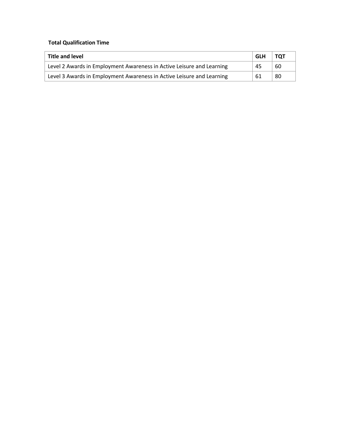### **Total Qualification Time**

| <b>Title and level</b>                                                | <b>GLH</b> | TQT |
|-----------------------------------------------------------------------|------------|-----|
| Level 2 Awards in Employment Awareness in Active Leisure and Learning | 45         | 60  |
| Level 3 Awards in Employment Awareness in Active Leisure and Learning | 61         | 80  |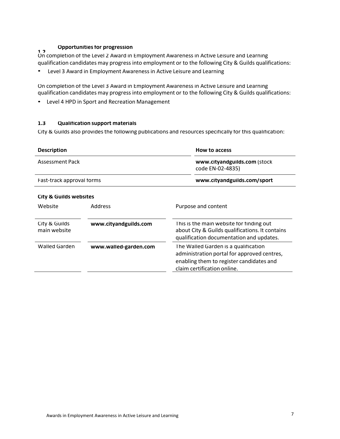#### **Opportunities for progression**

**1.2** On completion of the Level 2 Award in Employment Awarenessin Active Leisure and Learning qualification candidates may progress into employment or to the following City & Guilds qualifications:

• Level 3 Award in Employment Awarenessin Active Leisure and Learning

On completion of the Level 3 Award in Employment Awarenessin Active Leisure and Learning qualification candidates may progress into employment or to the following City & Guilds qualifications:

• Level 4 HPD in Sport and Recreation Management

#### **1.3 Qualification support materials**

City & Guilds also provides the following publications and resources specifically for this qualification:

| <b>Description</b><br><b>Assessment Pack</b> |                       | How to access                                                                                                                                                  |  |
|----------------------------------------------|-----------------------|----------------------------------------------------------------------------------------------------------------------------------------------------------------|--|
|                                              |                       | www.cityandguilds.com (stock<br>code EN-02-4835)                                                                                                               |  |
| Fast-track approval forms                    |                       | www.cityandguilds.com/sport                                                                                                                                    |  |
| <b>City &amp; Guilds websites</b>            |                       |                                                                                                                                                                |  |
| Website                                      | Address               | Purpose and content                                                                                                                                            |  |
| City & Guilds<br>main website                | www.cityandguilds.com | This is the main website for finding out<br>about City & Guilds qualifications. It contains<br>qualification documentation and updates.                        |  |
| <b>Walled Garden</b>                         | www.walled-garden.com | The Walled Garden is a qualification<br>administration portal for approved centres,<br>enabling them to register candidates and<br>claim certification online. |  |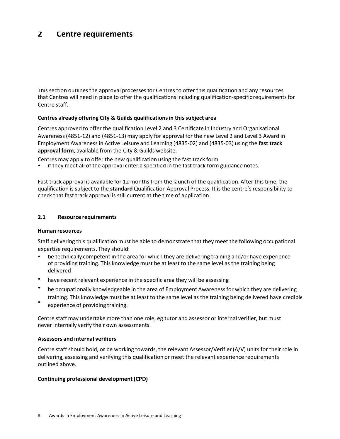### **2 Centre requirements**

This section outlines the approval processes for Centres to offer this qualification and any resources that Centres will need in place to offer the qualifications including qualification-specific requirements for Centre staff.

#### **Centres already offering City & Guilds qualificationsin this subject area**

Centres approved to offer the qualification Level 2 and 3 Certificate in Industry and Organisational Awareness(4851-12) and (4851-13) may apply for approval for the new Level 2 and Level 3 Award in Employment Awarenessin Active Leisure and Learning (4835-02) and (4835-03) using the **fast track approval form**, available from the City & Guilds website.

Centres may apply to offer the new qualification using the fast track form

it they meet all of the approval criteria specified in the fast track form guidance notes.

Fast track approval is available for 12 months from the launch of the qualification. After this time, the qualification is subject to the **standard** Qualification Approval Process. It is the centre's responsibility to check that fast track approval is still current at the time of application.

#### **2.1 Resource requirements**

#### **Human resources**

Staff delivering this qualification must be able to demonstrate that they meet the following occupational expertise requirements. They should:

- be technically competent in the area for which they are delivering training and/or have experience of providing training. This knowledge must be at least to the same level as the training being delivered
- have recent relevant experience in the specific area they will be assessing •
- be occupationally knowledgeable in the area of Employment Awarenessfor which they are delivering training. This knowledge must be at least to the same level as the training being delivered have credible •
- experience of providing training. •

Centre staff may undertake more than one role, eg tutor and assessor or internal verifier, but must never internally verify their own assessments.

#### **Assessors and internal verifiers**

Centre staff should hold, or be working towards, the relevant Assessor/Verifier(A/V) units for their role in delivering, assessing and verifying this qualification or meet the relevant experience requirements outlined above.

#### **Continuing professional development (CPD)**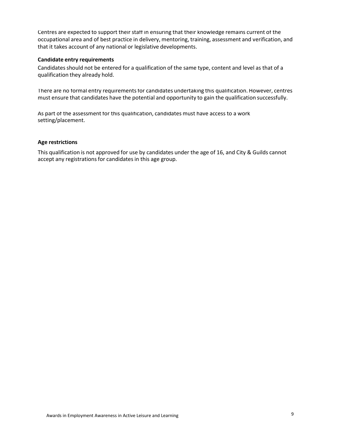Centres are expected to support their staff in ensuring that their knowledge remains current of the occupational area and of best practice in delivery, mentoring, training, assessment and verification, and that it takes account of any national or legislative developments.

#### **Candidate entry requirements**

Candidates should not be entered for a qualification of the same type, content and level as that of a qualification they already hold.

There are no formal entry requirements for candidates undertaking this qualification. However, centres must ensure that candidates have the potential and opportunity to gain the qualification successfully.

As part of the assessment for this qualification, candidates must have access to a work setting/placement.

#### **Age restrictions**

This qualification is not approved for use by candidates under the age of 16, and City & Guilds cannot accept any registrations for candidates in this age group.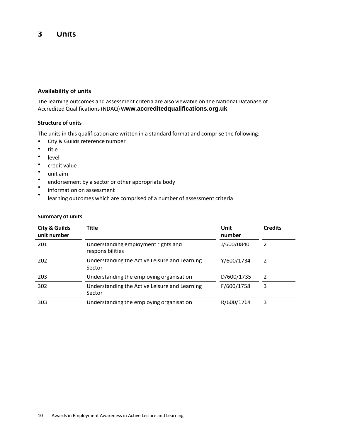### **3 Units**

#### **Availability of units**

The learning outcomes and assessment criteria are also viewable on the National Database of Accredited Qualifications(NDAQ) **[www.accreditedqualifications.org.uk](http://www.accreditedqualifications.org.uk/)**

#### **Structure of units**

The units in this qualification are written in a standard format and comprise the following:

- City & Guilds reference number
- title
- level
- credit value
- unit aim
- endorsement by a sector or other appropriate body
- • information on assessment
- learning outcomes which are comprised of a number of assessment criteria

| <b>City &amp; Guilds</b><br>unit number | <b>Title</b>                                            | Unit<br>number | <b>Credits</b> |
|-----------------------------------------|---------------------------------------------------------|----------------|----------------|
| 201                                     | Understanding employment rights and<br>responsibilities | J/600/0840     | 2              |
| 202                                     | Understanding the Active Leisure and Learning<br>Sector | Y/600/1734     | $\mathcal{L}$  |
| 203                                     | Understanding the employing organisation                | D/600/1735     | 2              |
| 302                                     | Understanding the Active Leisure and Learning<br>Sector | F/600/1758     | 3              |
| 303                                     | Understanding the employing organisation                | R/600/1764     | 3              |

#### **Summary of units**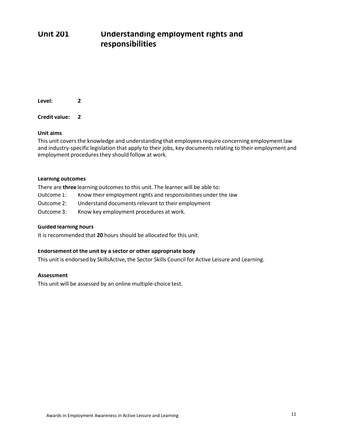### **Unit 201 Understanding employment rights and responsibilities**

**Level: 2**

**Credit value: 2**

#### **Unit aims**

This unit covers the knowledge and understanding that employees require concerning employment law and industry-specific legislation that apply to their jobs, key documents relating to their employment and employment procedures they should follow at work.

#### **Learning outcomes**

There are **three** learning outcomesto this unit. The learner will be able to:

- Outcome 1: Know their employment rights and responsibilities under the law
- Outcome 2: Understand documents relevant to their employment

Outcome 3: Know key employment procedures at work.

#### **Guided learning hours**

It is recommended that **20** hours should be allocated for this unit.

#### **Endorsement of the unit by a sector or other appropriate body**

This unit is endorsed by SkillsActive, the Sector Skills Council for Active Leisure and Learning.

#### **Assessment**

This unit will be assessed by an online multiple-choice test.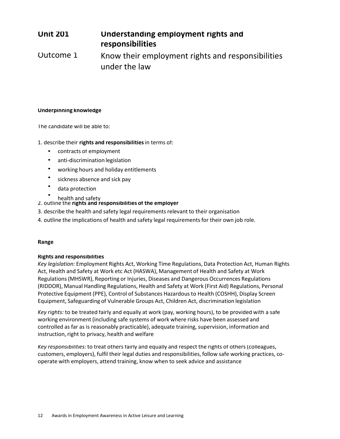## **Unit 201 Understanding employment rights and responsibilities**

Know their employment rights and responsibilities under the law Outcome 1

#### **Underpinning knowledge**

The candidate will be able to:

#### 1. describe their **rights and responsibilities**in terms of:

- contracts of employment
- anti-discrimination legislation
- working hours and holiday entitlements
- sickness absence and sick pay
- data protection
- health and safety
- 2. outline the **rights and responsibilities of the employer**
- 3. describe the health and safety legal requirements relevant to their organisation
- 4. outline the implications of health and safety legal requirementsfor their own job role.

#### **Range**

#### **Rights and responsibilities**

*Key legislation:* Employment Rights Act, Working Time Regulations, Data Protection Act, Human Rights Act, Health and Safety at Work etc Act (HASWA), Management of Health and Safety at Work Regulations(MHSWR), Reporting or Injuries, Diseases and Dangerous Occurrences Regulations (RIDDOR), Manual Handling Regulations, Health and Safety at Work (First Aid) Regulations, Personal Protective Equipment (PPE), Control of Substances Hazardousto Health (COSHH), Display Screen Equipment, Safeguarding of Vulnerable Groups Act, Children Act, discrimination legislation

*Key rights:* to be treated fairly and equally at work (pay, working hours), to be provided with a safe working environment (including safe systems of work where risks have been assessed and controlled as far as is reasonably practicable), adequate training, supervision, information and instruction, right to privacy, health and welfare

*Key responsibilities:*to treat others fairly and equally and respect the rights of others (colleagues, customers, employers), fulfil their legal duties and responsibilities, follow safe working practices, cooperate with employers, attend training, know when to seek advice and assistance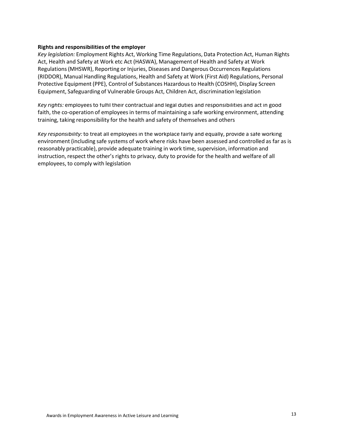#### **Rights and responsibilities of the employer**

*Key legislation:* Employment Rights Act, Working Time Regulations, Data Protection Act, Human Rights Act, Health and Safety at Work etc Act (HASWA), Management of Health and Safety at Work Regulations(MHSWR), Reporting or Injuries, Diseases and Dangerous Occurrences Regulations (RIDDOR), Manual Handling Regulations, Health and Safety at Work (First Aid) Regulations, Personal Protective Equipment (PPE), Control of Substances Hazardousto Health (COSHH), Display Screen Equipment, Safeguarding of Vulnerable Groups Act, Children Act, discrimination legislation

*Key rights:* employeesto fulfil their contractual and legal duties and responsibilities and act in good faith, the co-operation of employees in terms of maintaining a safe working environment, attending training, taking responsibility for the health and safety of themselves and others

*Key responsibility:*to treat all employeesin the workplace fairly and equally, provide a safe working environment (including safe systems of work where risks have been assessed and controlled as far as is reasonably practicable), provide adequate training in work time, supervision, information and instruction, respect the other's rights to privacy, duty to provide for the health and welfare of all employees, to comply with legislation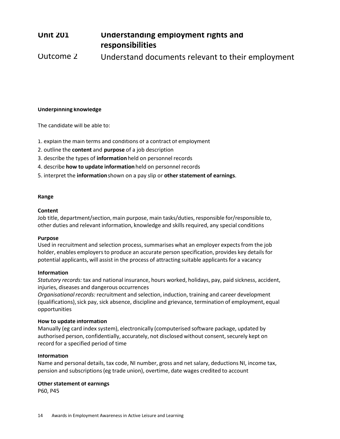## **Unit 201 Understanding employment rights and responsibilities**

Outcome 2 Understand documents relevant to their employment

#### **Underpinning knowledge**

The candidate will be able to:

- 1. explain the main terms and conditions of a contract of employment
- 2. outline the **content** and **purpose** of a job description
- 3. describe the types of **information**held on personnel records
- 4. describe **how to update information**held on personnel records
- 5. interpret the **information**shown on a pay slip or **other statement of earnings**.

#### **Range**

#### **Content**

Job title, department/section, main purpose, main tasks/duties, responsible for/responsible to, other duties and relevant information, knowledge and skills required, any special conditions

#### **Purpose**

Used in recruitment and selection process, summarises what an employer expects from the job holder, enables employersto produce an accurate person specification, provides key details for potential applicants, will assist in the process of attracting suitable applicants for a vacancy

#### **Information**

*Statutory records:* tax and national insurance, hours worked, holidays, pay, paid sickness, accident, injuries, diseases and dangerous occurrences

*Organisationalrecords:* recruitment and selection, induction, training and career development (qualifications), sick pay, sick absence, discipline and grievance, termination of employment, equal opportunities

#### **How to update information**

Manually (eg card index system), electronically (computerised software package, updated by authorised person, confidentially, accurately, not disclosed without consent, securely kept on record for a specified period of time

#### **Information**

Name and personal details, tax code, NI number, gross and net salary, deductions NI, income tax, pension and subscriptions(eg trade union), overtime, date wages credited to account

#### **Other statement of earnings**

P60, P45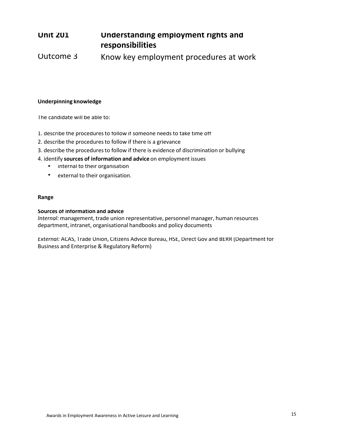## **Unit 201 Understanding employment rights and responsibilities**

Outcome 3 Know key employment procedures at work

#### **Underpinning knowledge**

The candidate will be able to:

- 1. describe the procedures to follow if someone needs to take time off
- 2. describe the proceduresto follow if there is a grievance
- 3. describe the proceduresto follow if there is evidence of discrimination or bullying
- 4. identify **sources of information and advice** on employment issues
	- internal to their organisation
	- external to their organisation.

#### **Range**

#### **Sources of information and advice**

*Internal:* management, trade union representative, personnel manager, human resources department, intranet, organisational handbooks and policy documents

*External:* ACAS, Trade Union, Citizens Advice Bureau, HSE, Direct Gov and BERR (Department for Business and Enterprise & Regulatory Reform)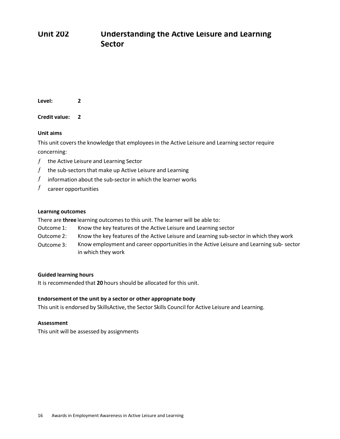### **Unit 202 Understanding the Active Leisure and Learning Sector**

**Level: 2**

**Credit value: 2**

#### **Unit aims**

This unit covers the knowledge that employees in the Active Leisure and Learning sector require concerning:

- $f$  the Active Leisure and Learning Sector
- $f$  the sub-sectors that make up Active Leisure and Learning
- $f$  information about the sub-sector in which the learner works
- $f$  career opportunities

#### **Learning outcomes**

There are **three** learning outcomesto this unit. The learner will be able to:

- Outcome 1: Know the key features of the Active Leisure and Learning sector
- Outcome 2: Know the key features of the Active Leisure and Learning sub-sector in which they work
- Outcome 3: Know employment and career opportunitiesin the Active Leisure and Learning sub- sector in which they work

#### **Guided learning hours**

It is recommended that **20** hours should be allocated for this unit.

#### **Endorsement of the unit by a sector or other appropriate body**

This unit is endorsed by SkillsActive, the Sector Skills Council for Active Leisure and Learning.

#### **Assessment**

This unit will be assessed by assignments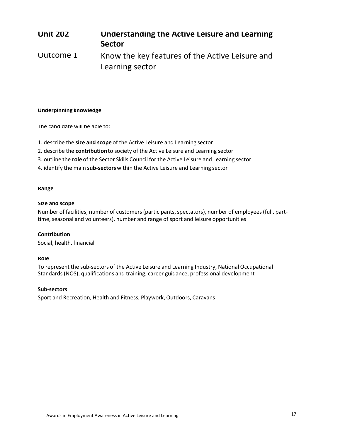### **Unit 202 Understanding the Active Leisure and Learning Sector** Know the key features of the Active Leisure and Outcome 1

### **Underpinning knowledge**

The candidate will be able to:

1. describe the **size and scope** of the Active Leisure and Learning sector

Learning sector

- 2. describe the **contribution**to society of the Active Leisure and Learning sector
- 3. outline the **role** of the Sector Skills Council for the Active Leisure and Learning sector
- 4. identify the main **sub-sectors**within the Active Leisure and Learning sector

#### **Range**

#### **Size and scope**

Number of facilities, number of customers (participants, spectators), number of employees (full, parttime, seasonal and volunteers), number and range of sport and leisure opportunities

#### **Contribution**

Social, health, financial

#### **Role**

To represent the sub-sectors of the Active Leisure and Learning Industry, National Occupational Standards(NOS), qualifications and training, career guidance, professional development

#### **Sub-sectors**

Sport and Recreation, Health and Fitness, Playwork, Outdoors, Caravans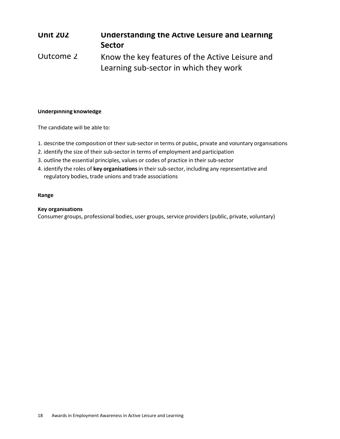# **Unit 202 Understanding the Active Leisure and Learning Sector**

Know the key features of the Active Leisure and Learning sub-sector in which they work Outcome 2

#### **Underpinning knowledge**

The candidate will be able to:

- 1. describe the composition of their sub-sectorin terms of public, private and voluntary organisations
- 2. identify the size of their sub-sector in terms of employment and participation
- 3. outline the essential principles, values or codes of practice in their sub-sector
- 4. identify the roles of **key organisations**in their sub-sector, including any representative and regulatory bodies, trade unions and trade associations

#### **Range**

#### **Key organisations**

Consumer groups, professional bodies, user groups, service providers (public, private, voluntary)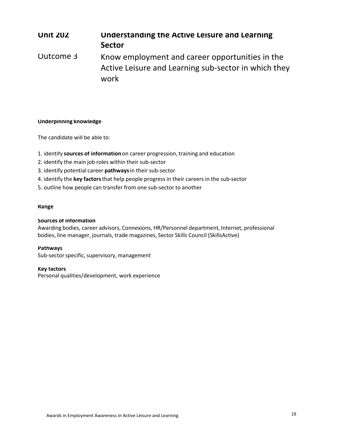## **Unit 202 Understanding the Active Leisure and Learning Sector** Know employment and career opportunities in the Outcome 3

Active Leisure and Learning sub-sector in which they work

#### **Underpinning knowledge**

The candidate will be able to:

- 1. identify **sources of information**on career progression, training and education
- 2. identify the main job roles within their sub-sector
- 3. identify potential career **pathways**in their sub-sector
- 4. identify the **key factors**that help people progressin their careers in the sub-sector
- 5. outline how people can transfer from one sub-sector to another

#### **Range**

#### **Sources of information**

Awarding bodies, career advisors, Connexions, HR/Personnel department, Internet, professional bodies, line manager, journals, trade magazines, Sector Skills Council (SkillsActive)

#### **Pathways**

Sub-sector specific, supervisory, management

**Key factors** Personal qualities/development, work experience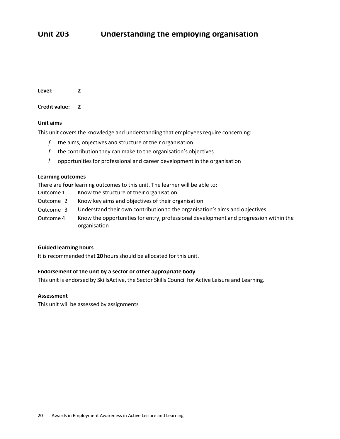### **Unit 203 Understanding the employing organisation**

**Level: 2**

**Credit value: 2**

#### **Unit aims**

This unit covers the knowledge and understanding that employees require concerning:

- $f$  the aims, objectives and structure of their organisation
- $f$  the contribution they can make to the organisation's objectives
- $f$  opportunities for professional and career development in the organisation

#### **Learning outcomes**

There are **four**learning outcomesto this unit. The learner will be able to:

- Outcome 1: Know the structure of their organisation
- Outcome 2: Know key aims and objectives of their organisation
- Outcome 3: Understand their own contribution to the organisation's aims and objectives
- Outcome 4: Know the opportunitiesfor entry, professional development and progression within the organisation

#### **Guided learning hours**

It is recommended that **20** hours should be allocated for this unit.

#### **Endorsement of the unit by a sector or other appropriate body**

This unit is endorsed by SkillsActive, the Sector Skills Council for Active Leisure and Learning.

#### **Assessment**

This unit will be assessed by assignments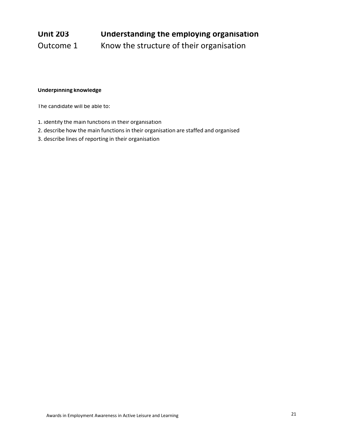#### **Unit 203** Outcome 1 **Understanding the employing organisation** Know the structure of their organisation

### **Underpinning knowledge**

The candidate will be able to:

- 1. identify the main functions in their organisation
- 2. describe how the main functions in their organisation are staffed and organised
- 3. describe lines of reporting in their organisation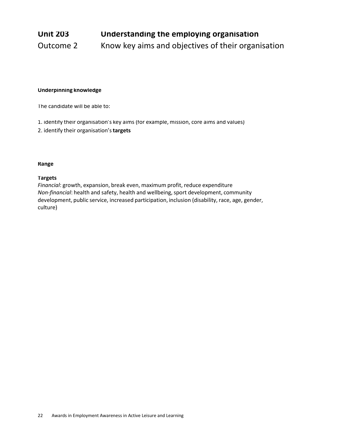#### **Unit 203** Outcome 2 **Understanding the employing organisation** Know key aims and objectives of their organisation

#### **Underpinning knowledge**

The candidate will be able to:

- 1. identify their organisation's key aims (for example, mission, core aims and values)
- 2. identify their organisation's**targets**

#### **Range**

#### **Targets**

*Financial*: growth, expansion, break even, maximum profit, reduce expenditure *Non-financial*: health and safety, health and wellbeing, sport development, community development, public service, increased participation, inclusion (disability, race, age, gender, culture)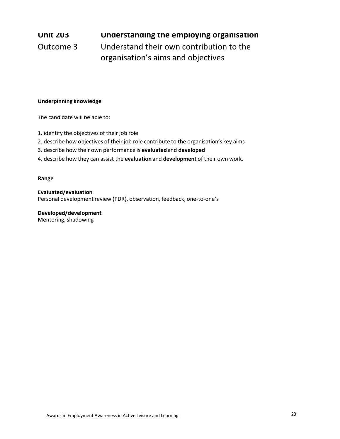#### **Unit 203** Outcome 3 **Understanding the employing organisation** Understand their own contribution to the organisation's aims and objectives

#### **Underpinning knowledge**

The candidate will be able to:

- 1. identify the objectives of their job role
- 2. describe how objectives of their job role contribute to the organisation's key aims
- 3. describe how their own performance is **evaluated**and **developed**
- 4. describe how they can assist the **evaluation**and **development** of their own work.

#### **Range**

**Evaluated/evaluation** Personal development review (PDR), observation, feedback, one-to-one's

**Developed/development** Mentoring, shadowing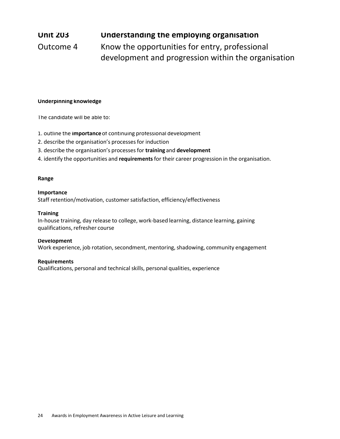#### **Unit 203** Outcome 4 **Understanding the employing organisation** Know the opportunities for entry, professional development and progression within the organisation

#### **Underpinning knowledge**

The candidate will be able to:

- 1. outline the **importance**of continuing professional development
- 2. describe the organisation's processesfor induction
- 3. describe the organisation's processesfor **training** and **development**
- 4. identify the opportunities and **requirements**for their career progression in the organisation.

#### **Range**

#### **Importance**

Staff retention/motivation, customer satisfaction, efficiency/effectiveness

#### **Training**

In-house training, day release to college, work-based learning, distance learning, gaining qualifications, refresher course

#### **Development**

Work experience, job rotation, secondment, mentoring, shadowing, community engagement

#### **Requirements**

Qualifications, personal and technical skills, personal qualities, experience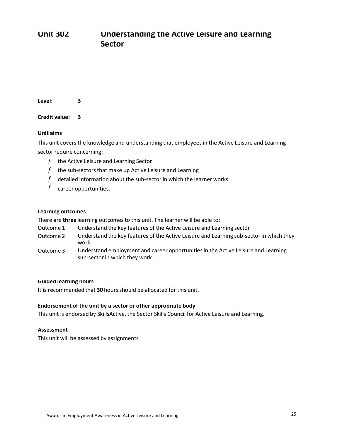### **Unit 302 Understanding the Active Leisure and Learning Sector**

**Level: 3**

**Credit value: 3**

#### **Unit aims**

This unit covers the knowledge and understanding that employeesin the Active Leisure and Learning sector require concerning:

- $f$  the Active Leisure and Learning Sector
- $f$  the sub-sectors that make up Active Leisure and Learning
- $f$  detailed information about the sub-sector in which the learner works
- $f_{-}$ career opportunities.

#### **Learning outcomes**

There are **three** learning outcomesto this unit. The learner will be able to:

- Outcome 1: Understand the key features of the Active Leisure and Learning sector
- Outcome 2: Understand the key features of the Active Leisure and Learning sub-sector in which they work
- Understand employment and career opportunitiesin the Active Leisure and Learning sub-sector in which they work. Outcome 3:

#### **Guided learning hours**

It is recommended that **30** hours should be allocated for this unit.

#### **Endorsement of the unit by a sector or other appropriate body**

This unit is endorsed by SkillsActive, the Sector Skills Council for Active Leisure and Learning.

#### **Assessment**

This unit will be assessed by assignments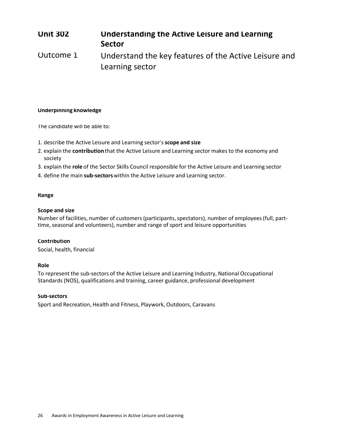## **Unit 302 Understanding the Active Leisure and Learning Sector**

Understand the key features of the Active Leisure and Learning sector Outcome 1

#### **Underpinning knowledge**

The candidate will be able to:

- 1. describe the Active Leisure and Learning sector's**scope and size**
- 2. explain the **contribution**that the Active Leisure and Learning sector makes to the economy and society
- 3. explain the **role** of the Sector Skills Council responsible for the Active Leisure and Learning sector
- 4. define the main **sub-sectors**within the Active Leisure and Learning sector.

#### **Range**

#### **Scope and size**

Number of facilities, number of customers (participants, spectators), number of employees (full, parttime, seasonal and volunteers), number and range of sport and leisure opportunities

#### **Contribution**

Social, health, financial

#### **Role**

To represent the sub-sectors of the Active Leisure and Learning Industry, National Occupational Standards(NOS), qualifications and training, career guidance, professional development

#### **Sub-sectors**

Sport and Recreation, Health and Fitness, Playwork, Outdoors, Caravans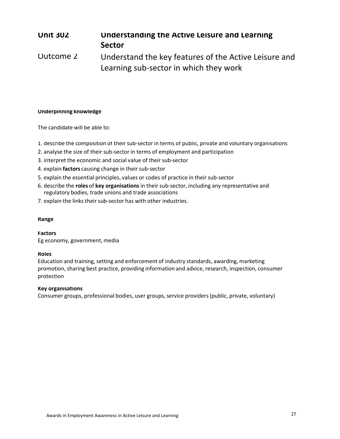## **Unit 302 Understanding the Active Leisure and Learning Sector**

Understand the key features of the Active Leisure and Learning sub-sector in which they work Outcome 2

#### **Underpinning knowledge**

The candidate will be able to:

- 1. describe the composition of their sub-sectorin terms of public, private and voluntary organisations
- 2. analyse the size of their sub-sector in terms of employment and participation
- 3. interpret the economic and social value of their sub-sector
- 4. explain **factors** causing change in their sub-sector
- 5. explain the essential principles, values or codes of practice in their sub-sector
- 6. describe the **roles** of **key organisations**in their sub-sector, including any representative and regulatory bodies, trade unions and trade associations
- 7. explain the links their sub-sector has with other industries.

#### **Range**

#### **Factors** Eg economy, government, media

#### **Roles**

Education and training, setting and enforcement of industry standards, awarding, marketing promotion, sharing best practice, providing information and advice, research, inspection, consumer protection

#### **Key organisations**

Consumer groups, professional bodies, user groups, service providers (public, private, voluntary)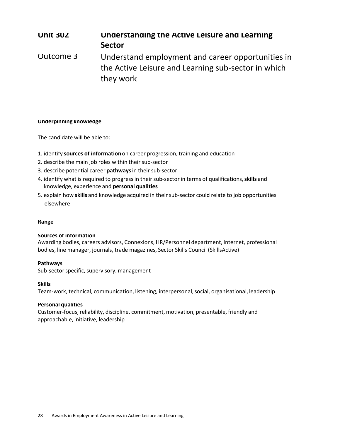### **Unit 302 Understanding the Active Leisure and Learning Sector** Understand employment and career opportunities in the Active Leisure and Learning sub-sector in which Outcome 3

they work

#### **Underpinning knowledge**

The candidate will be able to:

- 1. identify **sources of information**on career progression, training and education
- 2. describe the main job roles within their sub-sector
- 3. describe potential career **pathways**in their sub-sector
- 4. identify what is required to progressin their sub-sector in terms of qualifications,**skills** and knowledge, experience and **personal qualities**
- 5. explain how **skills** and knowledge acquired in their sub-sector could relate to job opportunities elsewhere

#### **Range**

#### **Sources of information**

Awarding bodies, careers advisors, Connexions, HR/Personnel department, Internet, professional bodies, line manager, journals, trade magazines, Sector Skills Council (SkillsActive)

#### **Pathways**

Sub-sector specific, supervisory, management

#### **Skills**

Team-work, technical, communication, listening, interpersonal, social, organisational, leadership

#### **Personal qualities**

Customer-focus,reliability, discipline, commitment, motivation, presentable, friendly and approachable, initiative, leadership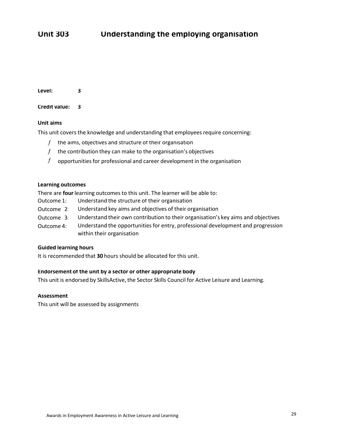### **Unit 303 Understanding the employing organisation**

**Level: 3**

**Credit value: 3**

#### **Unit aims**

This unit covers the knowledge and understanding that employees require concerning:

- $f$  the aims, objectives and structure of their organisation
- $f$  the contribution they can make to the organisation's objectives
- $f$  opportunities for professional and career development in the organisation

#### **Learning outcomes**

There are **four** learning outcomes to this unit. The learner will be able to:

- Outcome 1: Understand the structure of their organisation
- Outcome 2: Understand key aims and objectives of their organisation
- Outcome 3: Understand their own contribution to their organisation's key aims and objectives
- Outcome 4: Understand the opportunities for entry, professional development and progression within their organisation

#### **Guided learning hours**

It is recommended that **30** hours should be allocated for this unit.

#### **Endorsement of the unit by a sector or other appropriate body**

This unit is endorsed by SkillsActive, the Sector Skills Council for Active Leisure and Learning.

#### **Assessment**

This unit will be assessed by assignments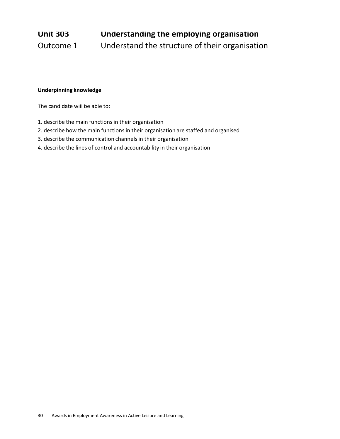#### **Unit 303** Outcome 1 **Understanding the employing organisation** Understand the structure of their organisation

#### **Underpinning knowledge**

The candidate will be able to:

- 1. describe the main functions in their organisation
- 2. describe how the main functions in their organisation are staffed and organised
- 3. describe the communication channels in their organisation
- 4. describe the lines of control and accountability in their organisation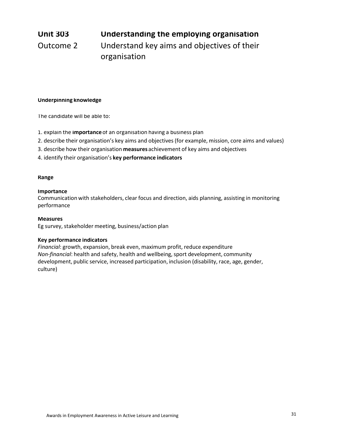#### **Unit 303** Outcome 2 **Understanding the employing organisation** Understand key aims and objectives of their organisation

#### **Underpinning knowledge**

The candidate will be able to:

- 1. explain the **importance**of an organisation having a business plan
- 2. describe their organisation's key aims and objectives(for example, mission, core aims and values)
- 3. describe how their organisation **measures** achievement of key aims and objectives
- 4. identify their organisation's **key performance indicators**

#### **Range**

#### **Importance**

Communication with stakeholders, clear focus and direction, aids planning, assisting in monitoring performance

#### **Measures**

Eg survey, stakeholder meeting, business/action plan

#### **Key performance indicators**

*Financial*: growth, expansion, break even, maximum profit, reduce expenditure *Non-financial*: health and safety, health and wellbeing,sport development, community development, public service, increased participation, inclusion (disability, race, age, gender, culture)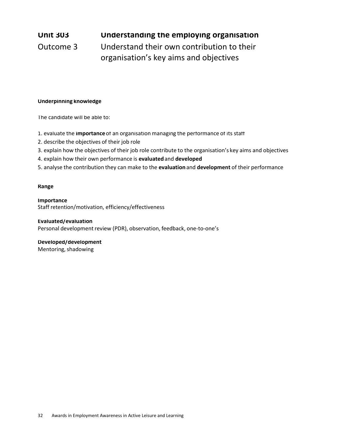#### **Unit 303** Outcome 3 **Understanding the employing organisation** Understand their own contribution to their organisation's key aims and objectives

#### **Underpinning knowledge**

The candidate will be able to:

- 1. evaluate the **importance**of an organisationmanaging the performance of its staff
- 2. describe the objectives of their job role
- 3. explain how the objectives of their job role contribute to the organisation's key aims and objectives
- 4. explain how their own performance is **evaluated**and **developed**
- 5. analyse the contribution they can make to the **evaluation**and **development** of their performance

#### **Range**

**Importance** Staff retention/motivation, efficiency/effectiveness

#### **Evaluated/evaluation** Personal development review (PDR), observation, feedback, one-to-one's

**Developed/development** Mentoring, shadowing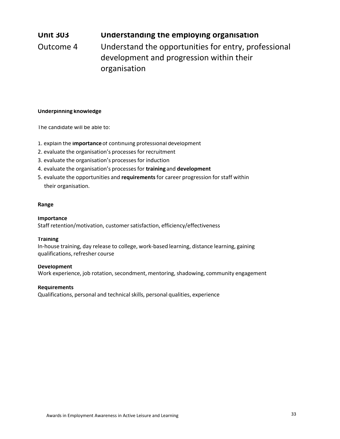#### **Unit 303** Outcome 4 **Understanding the employing organisation** Understand the opportunities for entry, professional development and progression within their organisation

#### **Underpinning knowledge**

The candidate will be able to:

- 1. explain the **importance**of continuing professional development
- 2. evaluate the organisation's processes for recruitment
- 3. evaluate the organisation's processesfor induction
- 4. evaluate the organisation's processesfor **training** and **development**
- 5. evaluate the opportunities and **requirements**for career progression for staff within their organisation.

#### **Range**

#### **Importance**

Staff retention/motivation, customer satisfaction, efficiency/effectiveness

#### **Training**

In-house training, day release to college, work-based learning, distance learning, gaining qualifications, refresher course

#### **Development**

Work experience, job rotation, secondment, mentoring, shadowing, community engagement

#### **Requirements**

Qualifications, personal and technical skills, personal qualities, experience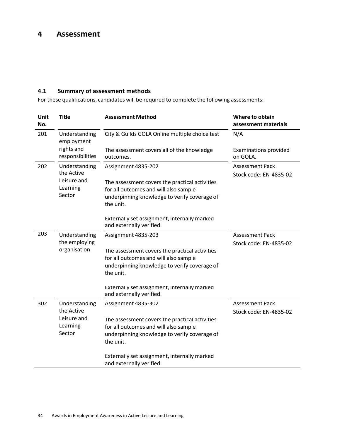### **4 Assessment**

#### **4.1 Summary of assessment methods**

For these qualifications, candidates will be required to complete the following assessments:

| Unit<br>No. | <b>Title</b>                      | <b>Assessment Method</b>                                                                                                                             | Where to obtain<br>assessment materials          |
|-------------|-----------------------------------|------------------------------------------------------------------------------------------------------------------------------------------------------|--------------------------------------------------|
| 201         | Understanding<br>employment       | City & Guilds GOLA Online multiple choice test                                                                                                       | N/A                                              |
|             | rights and<br>responsibilities    | The assessment covers all of the knowledge<br>outcomes.                                                                                              | <b>Examinations provided</b><br>on GOLA.         |
| 202         | Understanding<br>the Active       | Assignment 4835-202                                                                                                                                  | <b>Assessment Pack</b>                           |
|             | Leisure and<br>Learning<br>Sector | The assessment covers the practical activities<br>for all outcomes and will also sample<br>underpinning knowledge to verify coverage of<br>the unit. | Stock code: EN-4835-02                           |
|             |                                   | Externally set assignment, internally marked<br>and externally verified.                                                                             |                                                  |
| 203         | Understanding                     | Assignment 4835-203                                                                                                                                  | <b>Assessment Pack</b>                           |
|             | the employing<br>organisation     | The assessment covers the practical activities<br>for all outcomes and will also sample<br>underpinning knowledge to verify coverage of<br>the unit. | Stock code: EN-4835-02                           |
|             |                                   | Externally set assignment, internally marked<br>and externally verified.                                                                             |                                                  |
| 302         | Understanding<br>the Active       | Assignment 4835-302                                                                                                                                  | <b>Assessment Pack</b><br>Stock code: EN-4835-02 |
|             | Leisure and<br>Learning<br>Sector | The assessment covers the practical activities<br>for all outcomes and will also sample<br>underpinning knowledge to verify coverage of<br>the unit. |                                                  |
|             |                                   | Externally set assignment, internally marked<br>and externally verified.                                                                             |                                                  |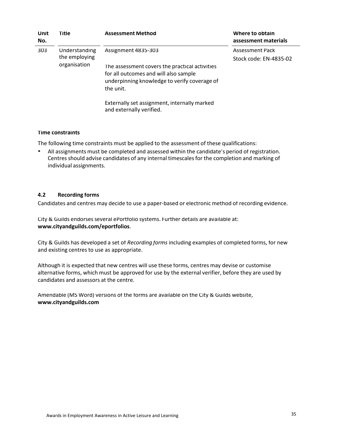| Unit<br>No. | Title                         | <b>Assessment Method</b>                                                                                                                             | Where to obtain<br>assessment materials |
|-------------|-------------------------------|------------------------------------------------------------------------------------------------------------------------------------------------------|-----------------------------------------|
| 303         | Understanding                 | Assignment 4835-303                                                                                                                                  | Assessment Pack                         |
|             | the employing<br>organisation | The assessment covers the practical activities<br>for all outcomes and will also sample<br>underpinning knowledge to verify coverage of<br>the unit. | Stock code: EN-4835-02                  |
|             |                               | Externally set assignment, internally marked<br>and externally verified.                                                                             |                                         |

#### **Time constraints**

The following time constraints must be applied to the assessment of these qualifications:

• All assignments must be completed and assessed within the candidate's period of registration. Centres should advise candidates of any internal timescales for the completion and marking of individual assignments.

#### **4.2 Recording forms**

Candidates and centres may decide to use a paper-based or electronic method of recording evidence.

City & Guilds endorses several ePortfolio systems. Further details are available at: **[www.cityandguilds.com/eportfolios](http://www.cityandguilds.com/eportfolios)**.

City & Guilds has developed a set of *Recording forms* including examples of completed forms, for new and existing centres to use as appropriate.

Although it is expected that new centres will use these forms, centres may devise or customise alternative forms, which must be approved for use by the external verifier, before they are used by candidates and assessors at the centre.

Amendable (MS Word) versions of the forms are available on the City & Guilds website, **[www.cityandguilds.com](http://www.cityandguilds.com/)**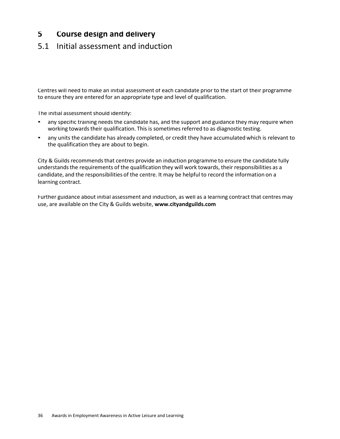#### **5 Course design and delivery**

#### 5.1 Initial assessment and induction

Centres will need to make an initial assessment of each candidate prior to the start of their programme to ensure they are entered for an appropriate type and level of qualification.

The initial assessment should identify:

- any specific training needs the candidate has, and the support and guidance they may require when working towards their qualification. This is sometimes referred to as diagnostic testing.
- any units the candidate has already completed, or credit they have accumulated which is relevant to the qualification they are about to begin.

City & Guilds recommends that centres provide an induction programme to ensure the candidate fully understands the requirements of the qualification they will work towards, their responsibilities as a candidate, and the responsibilities of the centre. It may be helpful to record the information on a learning contract.

Further guidance about initial assessment and induction, as well as a learning contract that centres may use, are available on the City & Guilds website, **[www.cityandguilds.com](http://www.cityandguilds.com/)**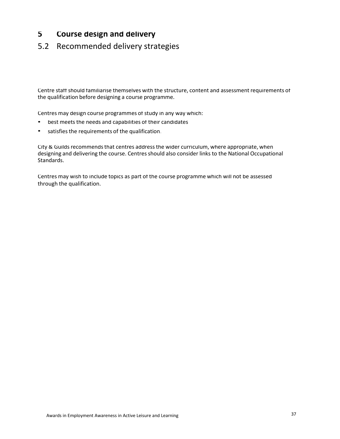#### **5 Course design and delivery**

### 5.2 Recommended delivery strategies

Centre staff should familiarise themselves with the structure, content and assessment requirements of the qualification before designing a course programme.

Centres may design course programmes of study in any way which:

- best meets the needs and capabilities of their candidates
- satisfies the requirements of the qualification.

City & Guilds recommends that centres address the wider curriculum, where appropriate, when designing and delivering the course. Centres should also consider links to the National Occupational Standards.

Centres may wish to include topics as part of the course programme which will not be assessed through the qualification.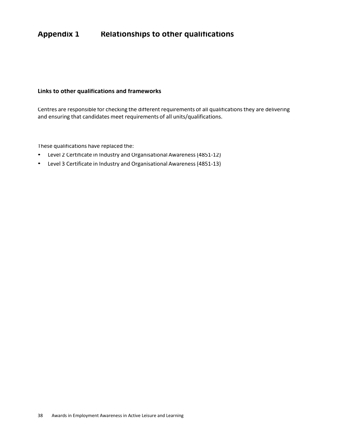### **Appendix 1 Relationships to other qualifications**

#### **Links to other qualifications and frameworks**

Centres are responsible for checking the different requirements of all qualificationsthey are delivering and ensuring that candidates meet requirements of all units/qualifications.

These qualifications have replaced the:

- Level 2 Certificate in Industry and Organisational Awareness(4851-12)
- Level 3 Certificate in Industry and Organisational Awareness(4851-13)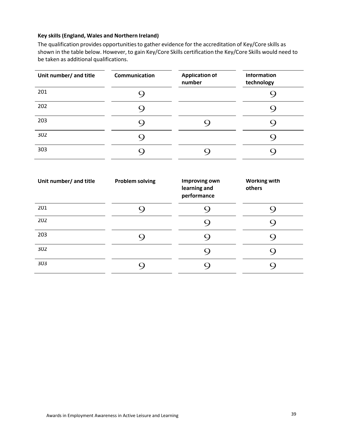#### **Key skills (England, Wales and Northern Ireland)**

The qualification provides opportunitiesto gather evidence for the accreditation of Key/Core skills as shown in the table below. However, to gain Key/Core Skills certification the Key/Core Skills would need to be taken as additional qualifications.

| Unit number/ and title | Communication          | <b>Application of</b><br>number              | Information<br>technology     |
|------------------------|------------------------|----------------------------------------------|-------------------------------|
| 201                    | 9                      |                                              | 9                             |
| 202                    | 9                      |                                              | 9                             |
| 203                    | 9                      | 9                                            | 9                             |
| 302                    | 9                      |                                              | 9                             |
| 303                    | 9                      | 9                                            | 9                             |
| Unit number/ and title | <b>Problem solving</b> | Improving own<br>learning and<br>performance | <b>Working with</b><br>others |
| 201                    | 9                      | 9                                            | 9                             |
| 202                    |                        | 9                                            | 9                             |
| 203                    | 9                      | 9                                            | 9                             |
| 302                    |                        | 9                                            | 9                             |
| 303                    | 9                      | 9                                            | 9                             |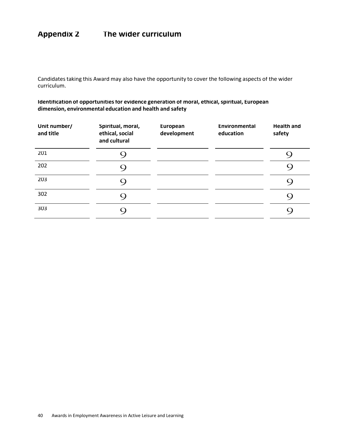### **Appendix 2 The wider curriculum**

Candidates taking this Award may also have the opportunity to cover the following aspects of the wider curriculum.

**Identification of opportunitiesfor evidence generation of moral, ethical,spiritual, European dimension, environmental education and health and safety**

| Unit number/<br>and title | Spiritual, moral,<br>ethical, social<br>and cultural | European<br>development | Environmental<br>education | <b>Health and</b><br>safety |
|---------------------------|------------------------------------------------------|-------------------------|----------------------------|-----------------------------|
| 201                       |                                                      |                         |                            |                             |
| 202                       | Ő                                                    |                         |                            |                             |
| 203                       | Y                                                    |                         |                            |                             |
| 302                       |                                                      |                         |                            |                             |
| 303                       |                                                      |                         |                            |                             |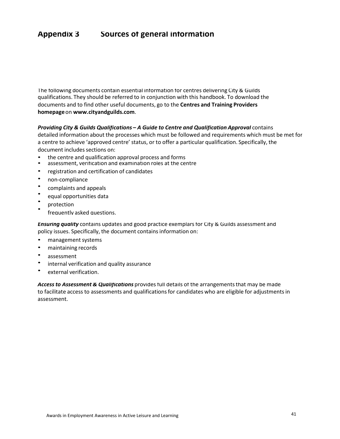## **Appendix 3 Sources of general information**

The following documents contain essential information for centres delivering City & Guilds qualifications. They should be referred to in conjunction with this handbook. To download the documents and to find other useful documents, go to the **Centres and Training Providers homepage**on **[www.cityandguilds.com](http://www.cityandguilds.com/)**.

#### *Providing City & Guilds Qualifications – A Guide to Centre and Qualification Approval* contains

detailed information about the processes which must be followed and requirements which must be met for a centre to achieve 'approved centre' status, or to offer a particular qualification. Specifically, the document includes sections on:

- the centre and qualification approval process and forms
- assessment, verification and examination roles at the centre
- registration and certification of candidates
- non-compliance
- complaints and appeals
- equal opportunities data
- • protection
- frequently asked questions.

**Ensuring quality** contains updates and good practice exemplars for City & Guilds assessment and policy issues. Specifically, the document contains information on:

- management systems
- maintaining records
- assessment
- internal verification and quality assurance
- external verification.

Access to Assessment & Qualifications provides full details of the arrangements that may be made to facilitate access to assessments and qualifications for candidates who are eligible for adjustments in assessment.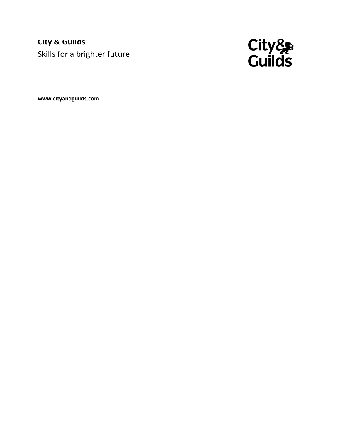# **City & Guilds** Skills for a brighter future



**[www.cityandguilds.com](http://www.cityandguilds.com/)**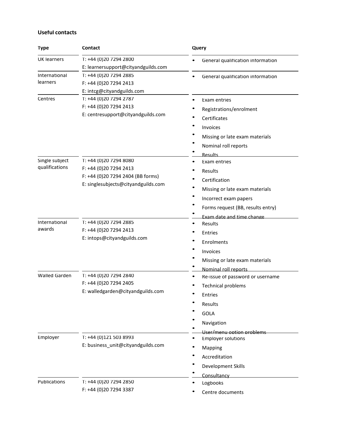#### **Useful contacts**

| <b>Type</b>                      | Contact                                                                                                                      | Query                                                                                                                                                      |
|----------------------------------|------------------------------------------------------------------------------------------------------------------------------|------------------------------------------------------------------------------------------------------------------------------------------------------------|
| <b>UK learners</b>               | T: +44 (0)20 7294 2800<br>E: learnersupport@cityandguilds.com                                                                | General qualification information                                                                                                                          |
| International<br>learners        | T: +44 (0)20 7294 2885<br>F: +44 (0)20 7294 2413<br>E: intcg@cityandguilds.com                                               | General qualification information                                                                                                                          |
| Centres                          | T: +44 (0)20 7294 2787<br>F: +44 (0)20 7294 2413<br>E: centresupport@cityandguilds.com                                       | Exam entries<br>٠<br>Registrations/enrolment<br>Certificates<br>Invoices<br>Missing or late exam materials<br>Nominal roll reports                         |
| Single subject<br>qualifications | T: +44 (0)20 7294 8080<br>F: +44 (0)20 7294 2413<br>F: +44 (0)20 7294 2404 (BB forms)<br>E: singlesubjects@cityandguilds.com | <b>Results</b><br>Exam entries<br>Results<br>Certification<br>Missing or late exam materials<br>Incorrect exam papers<br>Forms request (BB, results entry) |
| International<br>awards          | T: +44 (0)20 7294 2885<br>F: +44 (0)20 7294 2413<br>E: intops@cityandguilds.com                                              | Exam date and time change<br>Results<br>Entries<br>Enrolments<br>Invoices<br>Missing or late exam materials                                                |
| <b>Walled Garden</b>             | T: +44 (0)20 7294 2840<br>F: +44 (0)20 7294 2405<br>E: walledgarden@cityandguilds.com                                        | Nominal roll reports<br>Re-issue of password or username<br><b>Technical problems</b><br>Entries<br>Results<br>GOLA<br>Navigation                          |
| Employer                         | T: +44 (0)121 503 8993<br>E: business unit@cityandguilds.com                                                                 | User/menu ontion problems<br><b>Employer solutions</b><br>Mapping<br>Accreditation<br>Development Skills<br>Consultancy                                    |
| Publications                     | T: +44 (0)20 7294 2850<br>F: +44 (0)20 7294 3387                                                                             | Logbooks<br>Centre documents                                                                                                                               |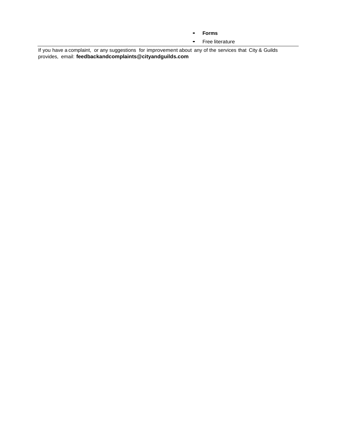- **Forms**
- Free literature

If you have a complaint, or any suggestions for improvement about any of the services that City & Guilds provides, email: **[feedbackandcomplaints@cityandguilds.com](mailto:feedbackandcomplaints@cityandguilds.com)**